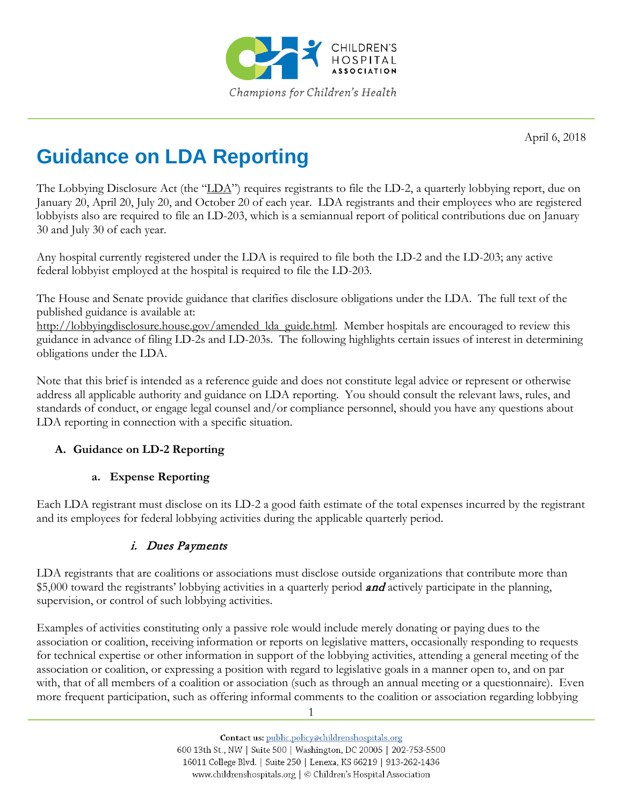

April 6, 2018

# **Guidance on LDA Reporting**

The Lobbying Disclosure Act (the "LDA") requires registrants to file the LD-2, a quarterly lobbying report, due on January 20, April 20, July 20, and October 20 of each year. LDA registrants and their employees who are registered lobbyists also are required to file an LD-203, which is a semiannual report of political contributions due on January 30 and July 30 of each year.

Any hospital currently registered under the LDA is required to file both the LD-2 and the LD-203; any active federal lobbyist employed at the hospital is required to file the LD-203.

The House and Senate provide guidance that clarifies disclosure obligations under the LDA. The full text of the published guidance is available at:

[http://lobbyingdisclosure.house.gov/amended\\_lda\\_guide.html.](http://lobbyingdisclosure.house.gov/amended_lda_guide.html) Member hospitals are encouraged to review this guidance in advance of filing LD-2s and LD-203s. The following highlights certain issues of interest in determining obligations under the LDA.

Note that this brief is intended as a reference guide and does not constitute legal advice or represent or otherwise address all applicable authority and guidance on LDA reporting. You should consult the relevant laws, rules, and standards of conduct, or engage legal counsel and/or compliance personnel, should you have any questions about LDA reporting in connection with a specific situation.

## **A. Guidance on LD-2 Reporting**

## **a. Expense Reporting**

Each LDA registrant must disclose on its LD-2 a good faith estimate of the total expenses incurred by the registrant and its employees for federal lobbying activities during the applicable quarterly period.

## i. Dues Payments

LDA registrants that are coalitions or associations must disclose outside organizations that contribute more than \$5,000 toward the registrants' lobbying activities in a quarterly period **and** actively participate in the planning, supervision, or control of such lobbying activities.

Examples of activities constituting only a passive role would include merely donating or paying dues to the association or coalition, receiving information or reports on legislative matters, occasionally responding to requests for technical expertise or other information in support of the lobbying activities, attending a general meeting of the association or coalition, or expressing a position with regard to legislative goals in a manner open to, and on par with, that of all members of a coalition or association (such as through an annual meeting or a questionnaire). Even more frequent participation, such as offering informal comments to the coalition or association regarding lobbying

1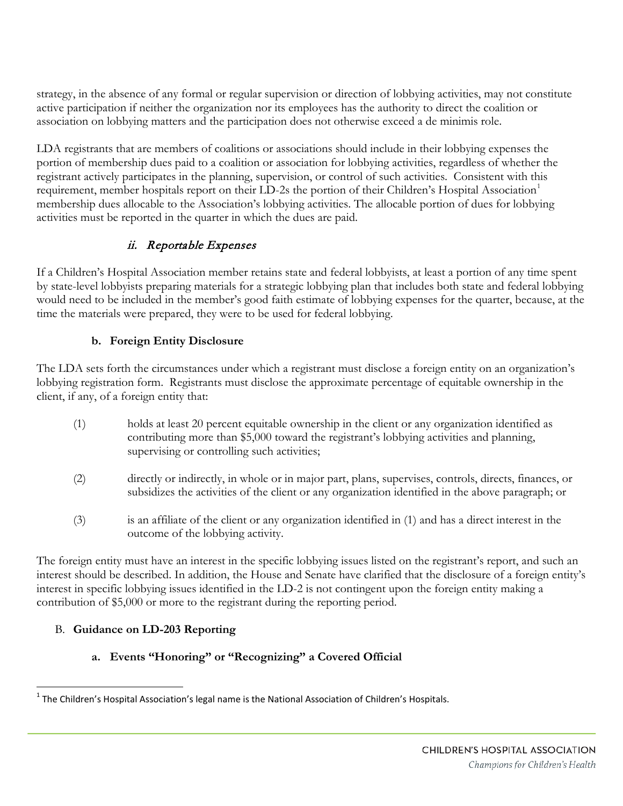strategy, in the absence of any formal or regular supervision or direction of lobbying activities, may not constitute active participation if neither the organization nor its employees has the authority to direct the coalition or association on lobbying matters and the participation does not otherwise exceed a de minimis role.

LDA registrants that are members of coalitions or associations should include in their lobbying expenses the portion of membership dues paid to a coalition or association for lobbying activities, regardless of whether the registrant actively participates in the planning, supervision, or control of such activities. Consistent with this requirement, member hospitals report on their LD-2s the portion of their Children's Hospital Association<sup>[1](#page-1-0)</sup> membership dues allocable to the Association's lobbying activities. The allocable portion of dues for lobbying activities must be reported in the quarter in which the dues are paid.

## ii. Reportable Expenses

If a Children's Hospital Association member retains state and federal lobbyists, at least a portion of any time spent by state-level lobbyists preparing materials for a strategic lobbying plan that includes both state and federal lobbying would need to be included in the member's good faith estimate of lobbying expenses for the quarter, because, at the time the materials were prepared, they were to be used for federal lobbying.

## **b. Foreign Entity Disclosure**

The LDA sets forth the circumstances under which a registrant must disclose a foreign entity on an organization's lobbying registration form. Registrants must disclose the approximate percentage of equitable ownership in the client, if any, of a foreign entity that:

- (1) holds at least 20 percent equitable ownership in the client or any organization identified as contributing more than \$5,000 toward the registrant's lobbying activities and planning, supervising or controlling such activities;
- (2) directly or indirectly, in whole or in major part, plans, supervises, controls, directs, finances, or subsidizes the activities of the client or any organization identified in the above paragraph; or
- (3) is an affiliate of the client or any organization identified in (1) and has a direct interest in the outcome of the lobbying activity.

The foreign entity must have an interest in the specific lobbying issues listed on the registrant's report, and such an interest should be described. In addition, the House and Senate have clarified that the disclosure of a foreign entity's interest in specific lobbying issues identified in the LD-2 is not contingent upon the foreign entity making a contribution of \$5,000 or more to the registrant during the reporting period.

## B. **Guidance on LD-203 Reporting**

## **a. Events "Honoring" or "Recognizing" a Covered Official**

<span id="page-1-0"></span> $1$  The Children's Hospital Association's legal name is the National Association of Children's Hospitals.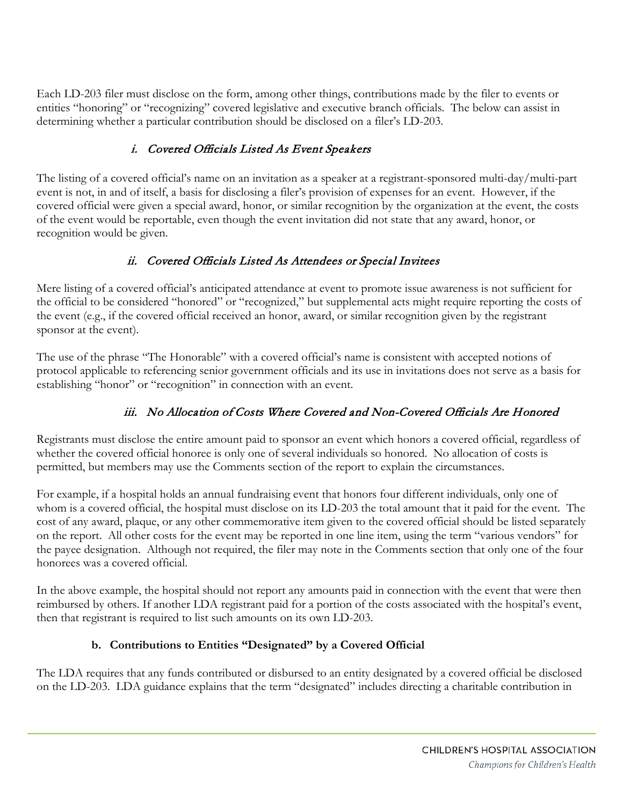Each LD-203 filer must disclose on the form, among other things, contributions made by the filer to events or entities "honoring" or "recognizing" covered legislative and executive branch officials. The below can assist in determining whether a particular contribution should be disclosed on a filer's LD-203.

# i. Covered Officials Listed As Event Speakers

The listing of a covered official's name on an invitation as a speaker at a registrant-sponsored multi-day/multi-part event is not, in and of itself, a basis for disclosing a filer's provision of expenses for an event. However, if the covered official were given a special award, honor, or similar recognition by the organization at the event, the costs of the event would be reportable, even though the event invitation did not state that any award, honor, or recognition would be given.

## ii. Covered Officials Listed As Attendees or Special Invitees

Mere listing of a covered official's anticipated attendance at event to promote issue awareness is not sufficient for the official to be considered "honored" or "recognized," but supplemental acts might require reporting the costs of the event (e.g., if the covered official received an honor, award, or similar recognition given by the registrant sponsor at the event).

The use of the phrase "The Honorable" with a covered official's name is consistent with accepted notions of protocol applicable to referencing senior government officials and its use in invitations does not serve as a basis for establishing "honor" or "recognition" in connection with an event.

# iii. No Allocation of Costs Where Covered and Non-Covered Officials Are Honored

Registrants must disclose the entire amount paid to sponsor an event which honors a covered official, regardless of whether the covered official honoree is only one of several individuals so honored. No allocation of costs is permitted, but members may use the Comments section of the report to explain the circumstances.

For example, if a hospital holds an annual fundraising event that honors four different individuals, only one of whom is a covered official, the hospital must disclose on its LD-203 the total amount that it paid for the event. The cost of any award, plaque, or any other commemorative item given to the covered official should be listed separately on the report. All other costs for the event may be reported in one line item, using the term "various vendors" for the payee designation. Although not required, the filer may note in the Comments section that only one of the four honorees was a covered official.

In the above example, the hospital should not report any amounts paid in connection with the event that were then reimbursed by others. If another LDA registrant paid for a portion of the costs associated with the hospital's event, then that registrant is required to list such amounts on its own LD-203.

## **b. Contributions to Entities "Designated" by a Covered Official**

The LDA requires that any funds contributed or disbursed to an entity designated by a covered official be disclosed on the LD-203. LDA guidance explains that the term "designated" includes directing a charitable contribution in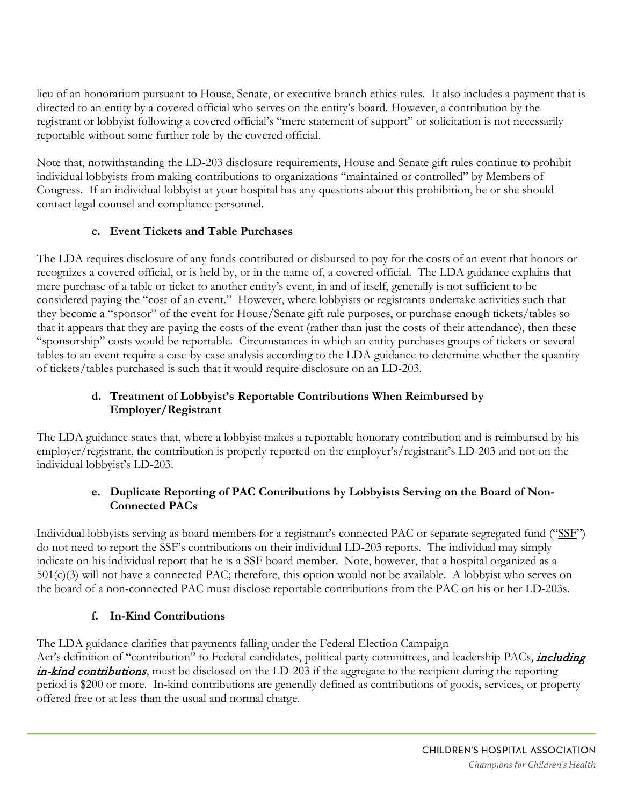lieu of an honorarium pursuant to House, Senate, or executive branch ethics rules. It also includes a payment that is directed to an entity by a covered official who serves on the entity's board. However, a contribution by the registrant or lobbyist following a covered official's "mere statement of support" or solicitation is not necessarily reportable without some further role by the covered official.

Note that, notwithstanding the LD-203 disclosure requirements, House and Senate gift rules continue to prohibit individual lobbyists from making contributions to organizations "maintained or controlled" by Members of Congress. If an individual lobbyist at your hospital has any questions about this prohibition, he or she should contact legal counsel and compliance personnel.

#### **c. Event Tickets and Table Purchases**

The LDA requires disclosure of any funds contributed or disbursed to pay for the costs of an event that honors or recognizes a covered official, or is held by, or in the name of, a covered official. The LDA guidance explains that mere purchase of a table or ticket to another entity's event, in and of itself, generally is not sufficient to be considered paying the "cost of an event." However, where lobbyists or registrants undertake activities such that they become a "sponsor" of the event for House/Senate gift rule purposes, or purchase enough tickets/tables so that it appears that they are paying the costs of the event (rather than just the costs of their attendance), then these "sponsorship" costs would be reportable. Circumstances in which an entity purchases groups of tickets or several tables to an event require a case-by-case analysis according to the LDA guidance to determine whether the quantity of tickets/tables purchased is such that it would require disclosure on an LD-203.

### **d. Treatment of Lobbyist's Reportable Contributions When Reimbursed by Employer/Registrant**

The LDA guidance states that, where a lobbyist makes a reportable honorary contribution and is reimbursed by his employer/registrant, the contribution is properly reported on the employer's/registrant's LD-203 and not on the individual lobbyist's LD-203.

#### **e. Duplicate Reporting of PAC Contributions by Lobbyists Serving on the Board of Non-Connected PACs**

Individual lobbyists serving as board members for a registrant's connected PAC or separate segregated fund ("SSF") do not need to report the SSF's contributions on their individual LD-203 reports. The individual may simply indicate on his individual report that he is a SSF board member. Note, however, that a hospital organized as a 501(c)(3) will not have a connected PAC; therefore, this option would not be available. A lobbyist who serves on the board of a non-connected PAC must disclose reportable contributions from the PAC on his or her LD-203s.

## **f. In-Kind Contributions**

The LDA guidance clarifies that payments falling under the Federal Election Campaign

Act's definition of "contribution" to Federal candidates, political party committees, and leadership PACs, *including* in-kind contributions, must be disclosed on the LD-203 if the aggregate to the recipient during the reporting period is \$200 or more. In-kind contributions are generally defined as contributions of goods, services, or property offered free or at less than the usual and normal charge.